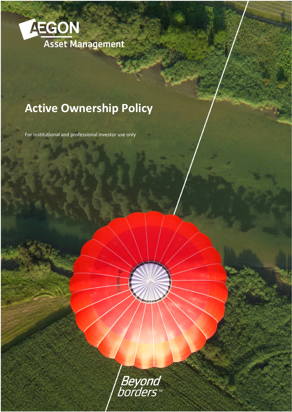

# **Active Ownership Policy**

For institutional and professional investor use only

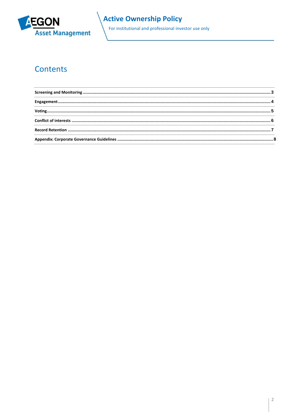

## **Active Ownership Policy**

For institutional and professional investor use only

## Contents

| ${\bf Engagement.}.\hspace{25pt} .\hspace{25pt} .\hspace{25pt} .\hspace{25pt} .\hspace{25pt} .\hspace{25pt} .\hspace{25pt} .\hspace{25pt} .\hspace{25pt} .\hspace{25pt} .\hspace{25pt} .\hspace{25pt} .\hspace{25pt} .\hspace{25pt} .\hspace{25pt} .\hspace{25pt} .\hspace{25pt} .\hspace{25pt} .\hspace{25pt} .\hspace{25pt} .\hspace{25pt} .\hspace{25pt} .\hspace{25pt} .\hspace{25pt$                                                                                              |  |
|----------------------------------------------------------------------------------------------------------------------------------------------------------------------------------------------------------------------------------------------------------------------------------------------------------------------------------------------------------------------------------------------------------------------------------------------------------------------------------------|--|
| $\textbf{Voting} \textbf{\texttt{}} \textbf{\texttt{}} \textbf{\texttt{}} \textbf{\texttt{}} \textbf{\texttt{}} \textbf{\texttt{}} \textbf{\texttt{}} \textbf{\texttt{}} \textbf{\texttt{}} \textbf{\texttt{}} \textbf{\texttt{}} \textbf{\texttt{}} \textbf{\texttt{}} \textbf{\texttt{}} \textbf{\texttt{}} \textbf{\texttt{}} \textbf{\texttt{}} \textbf{\texttt{}} \textbf{\texttt{}} \textbf{\texttt{}} \textbf{\texttt{}} \textbf{\texttt{}} \textbf{\texttt{}} \textbf{\texttt$ |  |
|                                                                                                                                                                                                                                                                                                                                                                                                                                                                                        |  |
|                                                                                                                                                                                                                                                                                                                                                                                                                                                                                        |  |
|                                                                                                                                                                                                                                                                                                                                                                                                                                                                                        |  |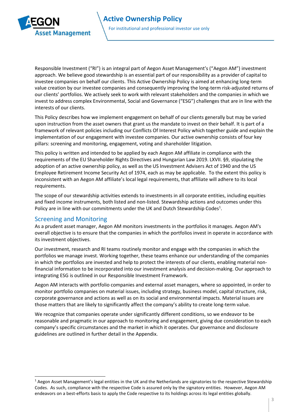

<span id="page-2-0"></span>Responsible Investment ("RI") is an integral part of Aegon Asset Management's ("Aegon AM") investment approach. We believe good stewardship is an essential part of our responsibility as a provider of capital to investee companies on behalf our clients. This Active Ownership Policy is aimed at enhancing long-term value creation by our investee companies and consequently improving the long-term risk-adjusted returns of our clients' portfolios. We actively seek to work with relevant stakeholders and the companies in which we invest to address complex Environmental, Social and Governance ("ESG") challenges that are in line with the interests of our clients.

This Policy describes how we implement engagement on behalf of our clients generally but may be varied upon instruction from the asset owners that grant us the mandate to invest on their behalf. It is part of a framework of relevant policies including our Conflicts Of Interest Policy which together guide and explain the implementation of our engagement with investee companies. Our active ownership consists of four key pillars: screening and monitoring, engagement, voting and shareholder litigation.

This policy is written and intended to be applied by each Aegon AM affiliate in compliance with the requirements of the EU Shareholder Rights Directives and Hungarian Law 2019. LXVII. §9, stipulating the adoption of an active ownership policy, as well as the US Investment Advisers Act of 1940 and the US Employee Retirement Income Security Act of 1974, each as may be applicable. To the extent this policy is inconsistent with an Aegon AM affiliate's local legal requirements, that affiliate will adhere to its local requirements.

The scope of our stewardship activities extends to investments in all corporate entities, including equities and fixed income instruments, both listed and non-listed. Stewardship actions and outcomes under this Policy are in line with our commitments under the UK and Dutch Stewardship Codes<sup>1</sup>.

### Screening and Monitoring

As a prudent asset manager, Aegon AM monitors investments in the portfolios it manages. Aegon AM's overall objective is to ensure that the companies in which the portfolios invest in operate in accordance with its investment objectives.

Our investment, research and RI teams routinely monitor and engage with the companies in which the portfolios we manage invest. Working together, these teams enhance our understanding of the companies in which the portfolios are invested and help to protect the interests of our clients, enabling material nonfinancial information to be incorporated into our investment analysis and decision-making. Our approach to integrating ESG is outlined in our Responsible Investment Framework.

Aegon AM interacts with portfolio companies and external asset managers, where so appointed, in order to monitor portfolio companies on material issues, including strategy, business model, capital structure, risk, corporate governance and actions as well as on its social and environmental impacts. Material issues are those matters that are likely to significantly affect the company's ability to create long-term value.

We recognize that companies operate under significantly different conditions, so we endeavor to be reasonable and pragmatic in our approach to monitoring and engagement, giving due consideration to each company's specific circumstances and the market in which it operates. Our governance and disclosure guidelines are outlined in further detail in the Appendix.

<sup>&</sup>lt;sup>1</sup> Aegon Asset Management's legal entities in the UK and the Netherlands are signatories to the respective Stewardship Codes. As such, compliance with the respective Code is assured only by the signatory entities. However, Aegon AM endeavors on a best-efforts basis to apply the Code respective to its holdings across its legal entities globally.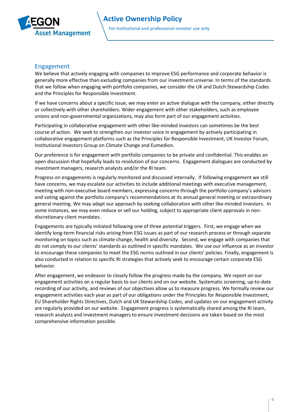

#### <span id="page-3-0"></span>Engagement

<span id="page-3-1"></span>We believe that actively engaging with companies to improve ESG performance and corporate behavior is generally more effective than excluding companies from our investment universe. In terms of the standards that we follow when engaging with portfolio companies, we consider the UK and Dutch Stewardship Codes and the Principles for Responsible Investment.

If we have concerns about a specific issue, we may enter an active dialogue with the company, either directly or collectively with other shareholders. Wider engagement with other stakeholders, such as employee unions and non-governmental organizations, may also form part of our engagement activities.

Participating in collaborative engagement with other like-minded investors can sometimes be the best course of action. We seek to strengthen our investor voice in engagement by actively participating in collaborative engagement platforms such as the Principles for Responsible Investment, UK Investor Forum, Institutional Investors Group on Climate Change and Eumedion.

Our preference is for engagement with portfolio companies to be private and confidential. This enables an open discussion that hopefully leads to resolution of our concerns. Engagement dialogues are conducted by investment managers, research analysts and/or the RI team.

Progress on engagements is regularly monitored and discussed internally. If following engagement we still have concerns, we may escalate our activities to include additional meetings with executive management, meeting with non-executive board members, expressing concerns through the portfolio company's advisors and voting against the portfolio company's recommendations at its annual general meeting or extraordinary general meeting. We may adapt our approach by seeking collaboration with other like-minded investors. In some instances, we may even reduce or sell our holding, subject to appropriate client approvals in nondiscretionary client mandates.

Engagements are typically initiated following one of three potential triggers. First, we engage when we identify long-term financial risks arising from ESG issues as part of our research process or through separate monitoring on topics such as climate change, health and diversity. Second, we engage with companies that do not comply to our clients' standards as outlined in specific mandates. We use our influence as an investor to encourage these companies to meet the ESG norms outlined in our clients' policies. Finally, engagement is also conducted in relation to specific RI strategies that actively seek to encourage certain corporate ESG behavior.

After engagement, we endeavor to closely follow the progress made by the company. We report on our engagement activities on a regular basis to our clients and on our website. Systematic screening, up-to-date recording of our activity, and reviews of our objectives allow us to measure progress. We formally review our engagement activities each year as part of our obligations under the Principles for Responsible Investment, EU Shareholder Rights Directives, Dutch and UK Stewardship Codes, and updates on our engagement activity are regularly provided on our website. Engagement progress is systematically shared among the RI team, research analysts and investment managers to ensure investment decisions are taken based on the most comprehensive information possible.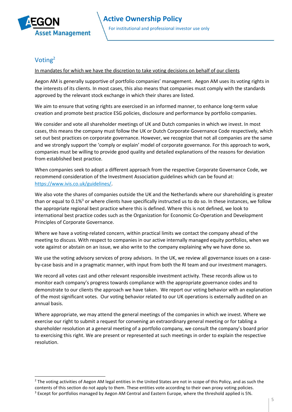

## Voting<sup>2</sup>

In mandates for which we have the discretion to take voting decisions on behalf of our clients

<span id="page-4-0"></span>Aegon AM is generally supportive of portfolio companies' management. Aegon AM uses its voting rights in the interests of its clients. In most cases, this also means that companies must comply with the standards approved by the relevant stock exchange in which their shares are listed.

We aim to ensure that voting rights are exercised in an informed manner, to enhance long-term value creation and promote best practice ESG policies, disclosure and performance by portfolio companies.

We consider and vote all shareholder meetings of UK and Dutch companies in which we invest. In most cases, this means the company must follow the UK or Dutch Corporate Governance Code respectively, which set out best practices on corporate governance. However, we recognize that not all companies are the same and we strongly support the 'comply or explain' model of corporate governance. For this approach to work, companies must be willing to provide good quality and detailed explanations of the reasons for deviation from established best practice.

When companies seek to adopt a different approach from the respective Corporate Governance Code, we recommend consideration of the Investment Association guidelines which can be found at: [https://www.ivis.co.uk/guidelines/.](https://www.ivis.co.uk/guidelines/)

We also vote the shares of companies outside the UK and the Netherlands where our shareholding is greater than or equal to  $0.1\%$ <sup>3</sup> or where clients have specifically instructed us to do so. In these instances, we follow the appropriate regional best practice where this is defined. Where this is not defined, we look to international best practice codes such as the Organization for Economic Co-Operation and Development Principles of Corporate Governance.

Where we have a voting-related concern, within practical limits we contact the company ahead of the meeting to discuss. With respect to companies in our active internally managed equity portfolios, when we vote against or abstain on an issue, we also write to the company explaining why we have done so.

We use the voting advisory services of proxy advisors. In the UK, we review all governance issues on a caseby-case basis and in a pragmatic manner, with input from both the RI team and our investment managers.

We record all votes cast and other relevant responsible investment activity. These records allow us to monitor each company's progress towards compliance with the appropriate governance codes and to demonstrate to our clients the approach we have taken. We report our voting behavior with an explanation of the most significant votes. Our voting behavior related to our UK operations is externally audited on an annual basis.

Where appropriate, we may attend the general meetings of the companies in which we invest. Where we exercise our right to submit a request for convening an extraordinary general meeting or for tabling a shareholder resolution at a general meeting of a portfolio company, we consult the company's board prior to exercising this right. We are present or represented at such meetings in order to explain the respective resolution.

<sup>&</sup>lt;sup>2</sup> The voting activities of Aegon AM legal entities in the United States are not in scope of this Policy, and as such the contents of this section do not apply to them. These entities vote according to their own proxy voting policies. <sup>3</sup> Except for portfolios managed by Aegon AM Central and Eastern Europe, where the threshold applied is 5%.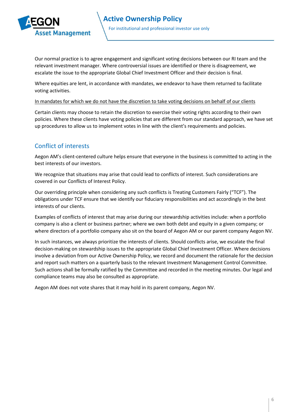

Our normal practice is to agree engagement and significant voting decisions between our RI team and the relevant investment manager. Where controversial issues are identified or there is disagreement, we escalate the issue to the appropriate Global Chief Investment Officer and their decision is final.

Where equities are lent, in accordance with mandates, we endeavor to have them returned to facilitate voting activities.

#### In mandates for which we do not have the discretion to take voting decisions on behalf of our clients

Certain clients may choose to retain the discretion to exercise their voting rights according to their own policies. Where these clients have voting policies that are different from our standard approach, we have set up procedures to allow us to implement votes in line with the client's requirements and policies.

## Conflict of interests

Aegon AM's client-centered culture helps ensure that everyone in the business is committed to acting in the best interests of our investors.

We recognize that situations may arise that could lead to conflicts of interest. Such considerations are covered in our Conflicts of Interest Policy.

Our overriding principle when considering any such conflicts is Treating Customers Fairly ("TCF"). The obligations under TCF ensure that we identify our fiduciary responsibilities and act accordingly in the best interests of our clients.

Examples of conflicts of interest that may arise during our stewardship activities include: when a portfolio company is also a client or business partner; where we own both debt and equity in a given company; or where directors of a portfolio company also sit on the board of Aegon AM or our parent company Aegon NV.

In such instances, we always prioritize the interests of clients. Should conflicts arise, we escalate the final decision-making on stewardship issues to the appropriate Global Chief Investment Officer. Where decisions involve a deviation from our Active Ownership Policy, we record and document the rationale for the decision and report such matters on a quarterly basis to the relevant Investment Management Control Committee. Such actions shall be formally ratified by the Committee and recorded in the meeting minutes. Our legal and compliance teams may also be consulted as appropriate.

Aegon AM does not vote shares that it may hold in its parent company, Aegon NV.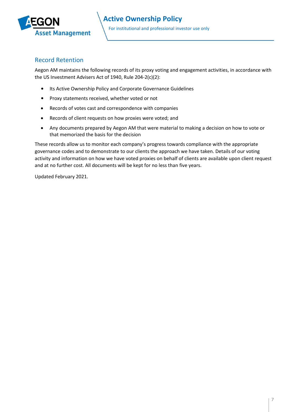

### <span id="page-6-0"></span>Record Retention

Aegon AM maintains the following records of its proxy voting and engagement activities, in accordance with the US Investment Advisers Act of 1940, Rule 204-2(c)(2):

- Its Active Ownership Policy and Corporate Governance Guidelines
- Proxy statements received, whether voted or not
- Records of votes cast and correspondence with companies
- Records of client requests on how proxies were voted; and
- Any documents prepared by Aegon AM that were material to making a decision on how to vote or that memorized the basis for the decision

These records allow us to monitor each company's progress towards compliance with the appropriate governance codes and to demonstrate to our clients the approach we have taken. Details of our voting activity and information on how we have voted proxies on behalf of clients are available upon client request and at no further cost. All documents will be kept for no less than five years.

Updated February 2021.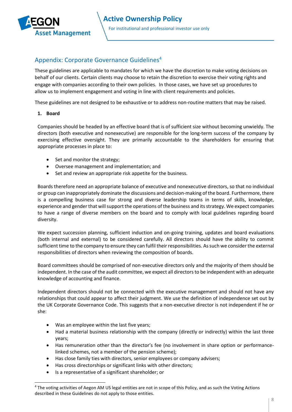

## <span id="page-7-0"></span>Appendix: Corporate Governance Guidelines<sup>4</sup>

These guidelines are applicable to mandates for which we have the discretion to make voting decisions on behalf of our clients. Certain clients may choose to retain the discretion to exercise their voting rights and engage with companies according to their own policies. In those cases, we have set up procedures to allow us to implement engagement and voting in line with client requirements and policies.

These guidelines are not designed to be exhaustive or to address non-routine matters that may be raised.

#### **1. Board**

Companies should be headed by an effective board that is of sufficient size without becoming unwieldy. The directors (both executive and nonexecutive) are responsible for the long-term success of the company by exercising effective oversight. They are primarily accountable to the shareholders for ensuring that appropriate processes in place to:

- Set and monitor the strategy;
- Oversee management and implementation; and
- Set and review an appropriate risk appetite for the business.

Boards therefore need an appropriate balance of executive and nonexecutive directors, so that no individual or group can inappropriately dominate the discussions and decision-making of the board. Furthermore, there is a compelling business case for strong and diverse leadership teams in terms of skills, knowledge, experience and gender that will support the operations of the business and its strategy. We expect companies to have a range of diverse members on the board and to comply with local guidelines regarding board diversity.

We expect succession planning, sufficient induction and on-going training, updates and board evaluations (both internal and external) to be considered carefully. All directors should have the ability to commit sufficient time to the company to ensure they can fulfil their responsibilities. As such we consider the external responsibilities of directors when reviewing the composition of boards.

Board committees should be comprised of non-executive directors only and the majority of them should be independent. In the case of the audit committee, we expect all directors to be independent with an adequate knowledge of accounting and finance.

Independent directors should not be connected with the executive management and should not have any relationships that could appear to affect their judgment. We use the definition of independence set out by the UK Corporate Governance Code. This suggests that a non-executive director is not independent if he or she:

- Was an employee within the last five years;
- Had a material business relationship with the company (directly or indirectly) within the last three years;
- Has remuneration other than the director's fee (no involvement in share option or performancelinked schemes, not a member of the pension scheme);
- Has close family ties with directors, senior employees or company advisers;
- Has cross directorships or significant links with other directors;
- Is a representative of a significant shareholder; or

<sup>&</sup>lt;sup>4</sup> The voting activities of Aegon AM US legal entities are not in scope of this Policy, and as such the Voting Actions described in these Guidelines do not apply to those entities.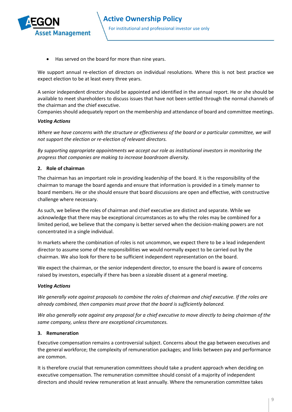

• Has served on the board for more than nine years.

We support annual re-election of directors on individual resolutions. Where this is not best practice we expect election to be at least every three years.

A senior independent director should be appointed and identified in the annual report. He or she should be available to meet shareholders to discuss issues that have not been settled through the normal channels of the chairman and the chief executive.

Companies should adequately report on the membership and attendance of board and committee meetings.

#### *Voting Actions*

*Where we have concerns with the structure or effectiveness of the board or a particular committee, we will not support the election or re-election of relevant directors.* 

*By supporting appropriate appointments we accept our role as institutional investors in monitoring the progress that companies are making to increase boardroom diversity.* 

#### **2. Role of chairman**

The chairman has an important role in providing leadership of the board. It is the responsibility of the chairman to manage the board agenda and ensure that information is provided in a timely manner to board members. He or she should ensure that board discussions are open and effective, with constructive challenge where necessary.

As such, we believe the roles of chairman and chief executive are distinct and separate. While we acknowledge that there may be exceptional circumstances as to why the roles may be combined for a limited period, we believe that the company is better served when the decision-making powers are not concentrated in a single individual.

In markets where the combination of roles is not uncommon, we expect there to be a lead independent director to assume some of the responsibilities we would normally expect to be carried out by the chairman. We also look for there to be sufficient independent representation on the board.

We expect the chairman, or the senior independent director, to ensure the board is aware of concerns raised by investors, especially if there has been a sizeable dissent at a general meeting.

#### *Voting Actions*

*We generally vote against proposals to combine the roles of chairman and chief executive. If the roles are already combined, then companies must prove that the board is sufficiently balanced.* 

*We also generally vote against any proposal for a chief executive to move directly to being chairman of the same company, unless there are exceptional circumstances.* 

#### **3. Remuneration**

Executive compensation remains a controversial subject. Concerns about the gap between executives and the general workforce; the complexity of remuneration packages; and links between pay and performance are common.

It is therefore crucial that remuneration committees should take a prudent approach when deciding on executive compensation. The remuneration committee should consist of a majority of independent directors and should review remuneration at least annually. Where the remuneration committee takes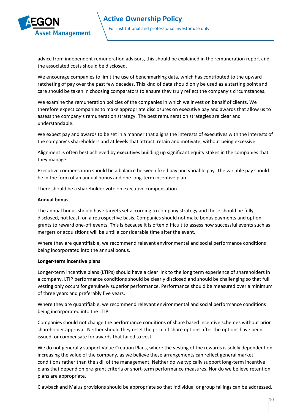

advice from independent remuneration advisors, this should be explained in the remuneration report and the associated costs should be disclosed.

We encourage companies to limit the use of benchmarking data, which has contributed to the upward ratcheting of pay over the past few decades. This kind of data should only be used as a starting point and care should be taken in choosing comparators to ensure they truly reflect the company's circumstances.

We examine the remuneration policies of the companies in which we invest on behalf of clients. We therefore expect companies to make appropriate disclosures on executive pay and awards that allow us to assess the company's remuneration strategy. The best remuneration strategies are clear and understandable.

We expect pay and awards to be set in a manner that aligns the interests of executives with the interests of the company's shareholders and at levels that attract, retain and motivate, without being excessive.

Alignment is often best achieved by executives building up significant equity stakes in the companies that they manage.

Executive compensation should be a balance between fixed pay and variable pay. The variable pay should be in the form of an annual bonus and one long-term incentive plan.

There should be a shareholder vote on executive compensation.

#### **Annual bonus**

The annual bonus should have targets set according to company strategy and these should be fully disclosed, not least, on a retrospective basis. Companies should not make bonus payments and option grants to reward one-off events. This is because it is often difficult to assess how successful events such as mergers or acquisitions will be until a considerable time after the event.

Where they are quantifiable, we recommend relevant environmental and social performance conditions being incorporated into the annual bonus.

#### **Longer-term incentive plans**

Longer-term incentive plans (LTIPs) should have a clear link to the long term experience of shareholders in a company. LTIP performance conditions should be clearly disclosed and should be challenging so that full vesting only occurs for genuinely superior performance. Performance should be measured over a minimum of three years and preferably five years.

Where they are quantifiable, we recommend relevant environmental and social performance conditions being incorporated into the LTIP.

Companies should not change the performance conditions of share based incentive schemes without prior shareholder approval. Neither should they reset the price of share options after the options have been issued, or compensate for awards that failed to vest.

We do not generally support Value Creation Plans, where the vesting of the rewards is solely dependent on increasing the value of the company, as we believe these arrangements can reflect general market conditions rather than the skill of the management. Neither do we typically support long-term incentive plans that depend on pre-grant criteria or short-term performance measures. Nor do we believe retention plans are appropriate.

Clawback and Malus provisions should be appropriate so that individual or group failings can be addressed.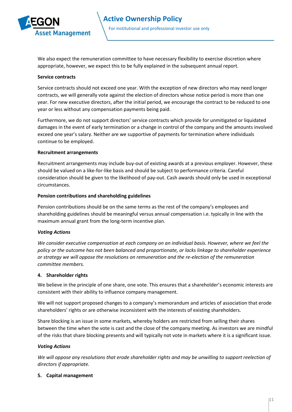

We also expect the remuneration committee to have necessary flexibility to exercise discretion where appropriate, however, we expect this to be fully explained in the subsequent annual report.

#### **Service contracts**

Service contracts should not exceed one year. With the exception of new directors who may need longer contracts, we will generally vote against the election of directors whose notice period is more than one year. For new executive directors, after the initial period, we encourage the contract to be reduced to one year or less without any compensation payments being paid.

Furthermore, we do not support directors' service contracts which provide for unmitigated or liquidated damages in the event of early termination or a change in control of the company and the amounts involved exceed one year's salary. Neither are we supportive of payments for termination where individuals continue to be employed.

#### **Recruitment arrangements**

Recruitment arrangements may include buy-out of existing awards at a previous employer. However, these should be valued on a like-for-like basis and should be subject to performance criteria. Careful consideration should be given to the likelihood of pay-out. Cash awards should only be used in exceptional circumstances.

#### **Pension contributions and shareholding guidelines**

Pension contributions should be on the same terms as the rest of the company's employees and shareholding guidelines should be meaningful versus annual compensation i.e. typically in line with the maximum annual grant from the long-term incentive plan.

#### *Voting Actions*

*We consider executive compensation at each company on an individual basis. However, where we feel the policy or the outcome has not been balanced and proportionate, or lacks linkage to shareholder experience or strategy we will oppose the resolutions on remuneration and the re-election of the remuneration committee members.* 

#### **4. Shareholder rights**

We believe in the principle of one share, one vote. This ensures that a shareholder's economic interests are consistent with their ability to influence company management.

We will not support proposed changes to a company's memorandum and articles of association that erode shareholders' rights or are otherwise inconsistent with the interests of existing shareholders.

Share blocking is an issue in some markets, whereby holders are restricted from selling their shares between the time when the vote is cast and the close of the company meeting. As investors we are mindful of the risks that share blocking presents and will typically not vote in markets where it is a significant issue.

#### *Voting Actions*

*We will oppose any resolutions that erode shareholder rights and may be unwilling to support reelection of directors if appropriate.* 

#### **5. Capital management**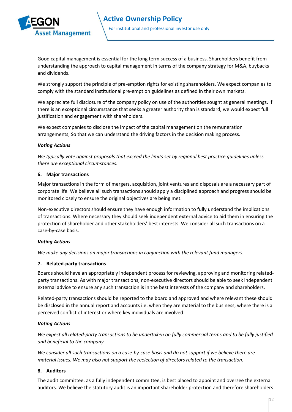

Good capital management is essential for the long term success of a business. Shareholders benefit from understanding the approach to capital management in terms of the company strategy for M&A, buybacks and dividends.

We strongly support the principle of pre-emption rights for existing shareholders. We expect companies to comply with the standard institutional pre-emption guidelines as defined in their own markets.

We appreciate full disclosure of the company policy on use of the authorities sought at general meetings. If there is an exceptional circumstance that seeks a greater authority than is standard, we would expect full justification and engagement with shareholders.

We expect companies to disclose the impact of the capital management on the remuneration arrangements, So that we can understand the driving factors in the decision making process.

#### *Voting Actions*

*We typically vote against proposals that exceed the limits set by regional best practice guidelines unless there are exceptional circumstances.* 

#### **6. Major transactions**

Major transactions in the form of mergers, acquisition, joint ventures and disposals are a necessary part of corporate life. We believe all such transactions should apply a disciplined approach and progress should be monitored closely to ensure the original objectives are being met.

Non-executive directors should ensure they have enough information to fully understand the implications of transactions. Where necessary they should seek independent external advice to aid them in ensuring the protection of shareholder and other stakeholders' best interests. We consider all such transactions on a case-by-case basis.

#### *Voting Actions*

*We make any decisions on major transactions in conjunction with the relevant fund managers.* 

#### **7. Related-party transactions**

Boards should have an appropriately independent process for reviewing, approving and monitoring relatedparty transactions. As with major transactions, non-executive directors should be able to seek independent external advice to ensure any such transaction is in the best interests of the company and shareholders.

Related-party transactions should be reported to the board and approved and where relevant these should be disclosed in the annual report and accounts i.e. when they are material to the business, where there is a perceived conflict of interest or where key individuals are involved.

#### *Voting Actions*

*We expect all related-party transactions to be undertaken on fully commercial terms and to be fully justified and beneficial to the company.* 

*We consider all such transactions on a case-by-case basis and do not support if we believe there are material issues. We may also not support the reelection of directors related to the transaction.* 

#### **8. Auditors**

The audit committee, as a fully independent committee, is best placed to appoint and oversee the external auditors. We believe the statutory audit is an important shareholder protection and therefore shareholders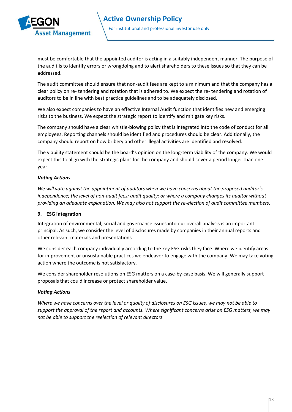

must be comfortable that the appointed auditor is acting in a suitably independent manner. The purpose of the audit is to identify errors or wrongdoing and to alert shareholders to these issues so that they can be addressed.

The audit committee should ensure that non-audit fees are kept to a minimum and that the company has a clear policy on re- tendering and rotation that is adhered to. We expect the re- tendering and rotation of auditors to be in line with best practice guidelines and to be adequately disclosed.

We also expect companies to have an effective Internal Audit function that identifies new and emerging risks to the business. We expect the strategic report to identify and mitigate key risks.

The company should have a clear whistle-blowing policy that is integrated into the code of conduct for all employees. Reporting channels should be identified and procedures should be clear. Additionally, the company should report on how bribery and other illegal activities are identified and resolved.

The viability statement should be the board's opinion on the long-term viability of the company. We would expect this to align with the strategic plans for the company and should cover a period longer than one year.

#### *Voting Actions*

*We will vote against the appointment of auditors when we have concerns about the proposed auditor's independence; the level of non-audit fees; audit quality; or where a company changes its auditor without providing an adequate explanation. We may also not support the re-election of audit committee members.* 

#### **9. ESG integration**

Integration of environmental, social and governance issues into our overall analysis is an important principal. As such, we consider the level of disclosures made by companies in their annual reports and other relevant materials and presentations.

We consider each company individually according to the key ESG risks they face. Where we identify areas for improvement or unsustainable practices we endeavor to engage with the company. We may take voting action where the outcome is not satisfactory.

We consider shareholder resolutions on ESG matters on a case-by-case basis. We will generally support proposals that could increase or protect shareholder value.

#### *Voting Actions*

*Where we have concerns over the level or quality of disclosures on ESG issues, we may not be able to support the approval of the report and accounts. Where significant concerns arise on ESG matters, we may not be able to support the reelection of relevant directors.*